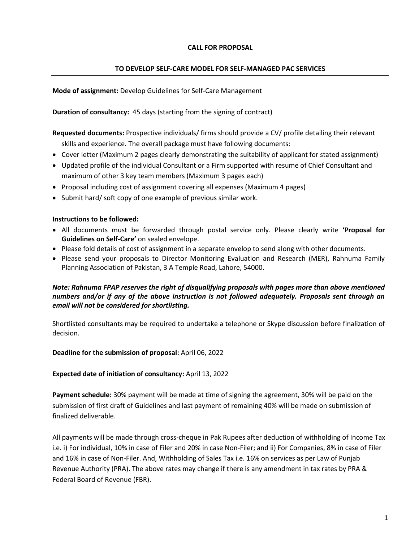### **CALL FOR PROPOSAL**

#### **TO DEVELOP SELF-CARE MODEL FOR SELF-MANAGED PAC SERVICES**

**Mode of assignment:** Develop Guidelines for Self-Care Management

**Duration of consultancy:** 45 days (starting from the signing of contract)

- **Requested documents:** Prospective individuals/ firms should provide a CV/ profile detailing their relevant skills and experience. The overall package must have following documents:
- Cover letter (Maximum 2 pages clearly demonstrating the suitability of applicant for stated assignment)
- Updated profile of the individual Consultant or a Firm supported with resume of Chief Consultant and maximum of other 3 key team members (Maximum 3 pages each)
- Proposal including cost of assignment covering all expenses (Maximum 4 pages)
- Submit hard/ soft copy of one example of previous similar work.

#### **Instructions to be followed:**

- All documents must be forwarded through postal service only. Please clearly write **'Proposal for Guidelines on Self-Care'** on sealed envelope.
- Please fold details of cost of assignment in a separate envelop to send along with other documents.
- Please send your proposals to Director Monitoring Evaluation and Research (MER), Rahnuma Family Planning Association of Pakistan, 3 A Temple Road, Lahore, 54000.

## *Note: Rahnuma FPAP reserves the right of disqualifying proposals with pages more than above mentioned numbers and/or if any of the above instruction is not followed adequately. Proposals sent through an email will not be considered for shortlisting.*

Shortlisted consultants may be required to undertake a telephone or Skype discussion before finalization of decision.

### **Deadline for the submission of proposal:** April 06, 2022

### **Expected date of initiation of consultancy:** April 13, 2022

**Payment schedule:** 30% payment will be made at time of signing the agreement, 30% will be paid on the submission of first draft of Guidelines and last payment of remaining 40% will be made on submission of finalized deliverable.

All payments will be made through cross-cheque in Pak Rupees after deduction of withholding of Income Tax i.e. i) For individual, 10% in case of Filer and 20% in case Non-Filer; and ii) For Companies, 8% in case of Filer and 16% in case of Non-Filer. And, Withholding of Sales Tax i.e. 16% on services as per Law of Punjab Revenue Authority (PRA). The above rates may change if there is any amendment in tax rates by PRA & Federal Board of Revenue (FBR).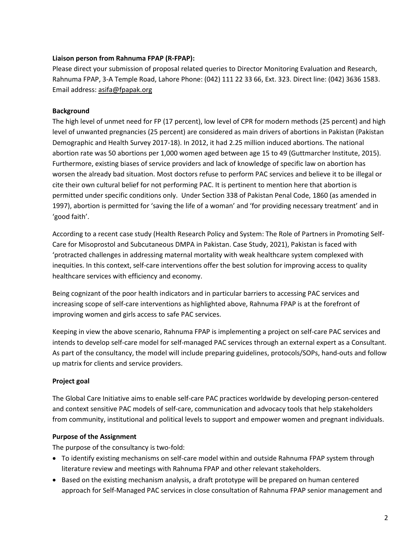### **Liaison person from Rahnuma FPAP (R-FPAP):**

Please direct your submission of proposal related queries to Director Monitoring Evaluation and Research, Rahnuma FPAP, 3-A Temple Road, Lahore Phone: (042) 111 22 33 66, Ext. 323. Direct line: (042) 3636 1583. Email address[: asifa@fpapak.org](mailto:asifa@fpapak.org)

### **Background**

The high level of unmet need for FP (17 percent), low level of CPR for modern methods (25 percent) and high level of unwanted pregnancies (25 percent) are considered as main drivers of abortions in Pakistan (Pakistan Demographic and Health Survey 2017-18). In 2012, it had 2.25 million induced abortions. The national abortion rate was 50 abortions per 1,000 women aged between age 15 to 49 (Guttmarcher Institute, 2015). Furthermore, existing biases of service providers and lack of knowledge of specific law on abortion has worsen the already bad situation. Most doctors refuse to perform PAC services and believe it to be illegal or cite their own cultural belief for not performing PAC. It is pertinent to mention here that abortion is permitted under specific conditions only. Under Section 338 of Pakistan Penal Code, 1860 (as amended in 1997), abortion is permitted for 'saving the life of a woman' and 'for providing necessary treatment' and in 'good faith'.

According to a recent case study (Health Research Policy and System: The Role of Partners in Promoting Self-Care for Misoprostol and Subcutaneous DMPA in Pakistan. Case Study, 2021), Pakistan is faced with 'protracted challenges in addressing maternal mortality with weak healthcare system complexed with inequities. In this context, self-care interventions offer the best solution for improving access to quality healthcare services with efficiency and economy.

Being cognizant of the poor health indicators and in particular barriers to accessing PAC services and increasing scope of self-care interventions as highlighted above, Rahnuma FPAP is at the forefront of improving women and girls access to safe PAC services.

Keeping in view the above scenario, Rahnuma FPAP is implementing a project on self-care PAC services and intends to develop self-care model for self-managed PAC services through an external expert as a Consultant. As part of the consultancy, the model will include preparing guidelines, protocols/SOPs, hand-outs and follow up matrix for clients and service providers.

## **Project goal**

The Global Care Initiative aims to enable self-care PAC practices worldwide by developing person-centered and context sensitive PAC models of self-care, communication and advocacy tools that help stakeholders from community, institutional and political levels to support and empower women and pregnant individuals.

### **Purpose of the Assignment**

The purpose of the consultancy is two-fold:

- To identify existing mechanisms on self-care model within and outside Rahnuma FPAP system through literature review and meetings with Rahnuma FPAP and other relevant stakeholders.
- Based on the existing mechanism analysis, a draft prototype will be prepared on human centered approach for Self-Managed PAC services in close consultation of Rahnuma FPAP senior management and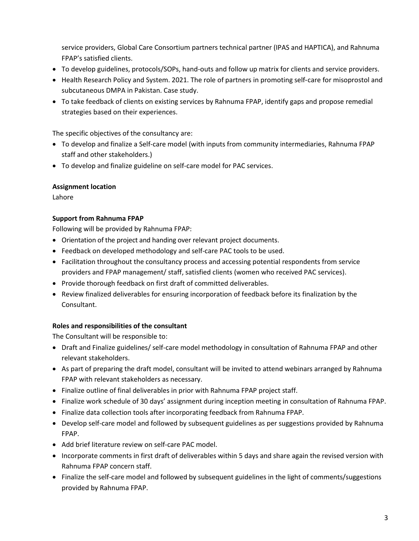service providers, Global Care Consortium partners technical partner (IPAS and HAPTICA), and Rahnuma FPAP's satisfied clients.

- To develop guidelines, protocols/SOPs, hand-outs and follow up matrix for clients and service providers.
- Health Research Policy and System. 2021. The role of partners in promoting self-care for misoprostol and subcutaneous DMPA in Pakistan. Case study.
- To take feedback of clients on existing services by Rahnuma FPAP, identify gaps and propose remedial strategies based on their experiences.

The specific objectives of the consultancy are:

- To develop and finalize a Self-care model (with inputs from community intermediaries, Rahnuma FPAP staff and other stakeholders.)
- To develop and finalize guideline on self-care model for PAC services.

### **Assignment location**

Lahore

### **Support from Rahnuma FPAP**

Following will be provided by Rahnuma FPAP:

- Orientation of the project and handing over relevant project documents.
- Feedback on developed methodology and self-care PAC tools to be used.
- Facilitation throughout the consultancy process and accessing potential respondents from service providers and FPAP management/ staff, satisfied clients (women who received PAC services).
- Provide thorough feedback on first draft of committed deliverables.
- Review finalized deliverables for ensuring incorporation of feedback before its finalization by the Consultant.

## **Roles and responsibilities of the consultant**

The Consultant will be responsible to:

- Draft and Finalize guidelines/ self-care model methodology in consultation of Rahnuma FPAP and other relevant stakeholders.
- As part of preparing the draft model, consultant will be invited to attend webinars arranged by Rahnuma FPAP with relevant stakeholders as necessary.
- Finalize outline of final deliverables in prior with Rahnuma FPAP project staff.
- Finalize work schedule of 30 days' assignment during inception meeting in consultation of Rahnuma FPAP.
- Finalize data collection tools after incorporating feedback from Rahnuma FPAP.
- Develop self-care model and followed by subsequent guidelines as per suggestions provided by Rahnuma FPAP.
- Add brief literature review on self-care PAC model.
- Incorporate comments in first draft of deliverables within 5 days and share again the revised version with Rahnuma FPAP concern staff.
- Finalize the self-care model and followed by subsequent guidelines in the light of comments/suggestions provided by Rahnuma FPAP.